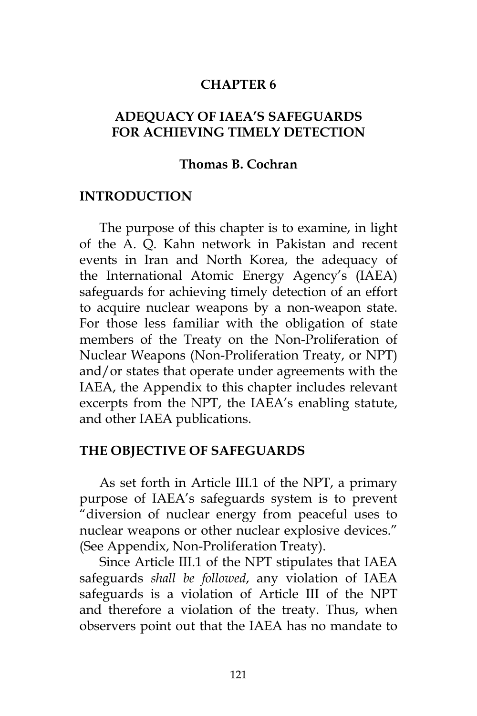#### **CHAPTER 6**

# **ADEQUACY OF IAEA'S SAFEGUARDS FOR ACHIEVING TIMELY DETECTION**

#### **Thomas B. Cochran**

#### **INTRODUCTION**

The purpose of this chapter is to examine, in light of the A. Q. Kahn network in Pakistan and recent events in Iran and North Korea, the adequacy of the International Atomic Energy Agency's (IAEA) safeguards for achieving timely detection of an effort to acquire nuclear weapons by a non-weapon state. For those less familiar with the obligation of state members of the Treaty on the Non-Proliferation of Nuclear Weapons (Non-Proliferation Treaty, or NPT) and/or states that operate under agreements with the IAEA, the Appendix to this chapter includes relevant excerpts from the NPT, the IAEA's enabling statute, and other IAEA publications.

#### **THE OBJECTIVE OF SAFEGUARDS**

As set forth in Article III.1 of the NPT, a primary purpose of IAEA's safeguards system is to prevent "diversion of nuclear energy from peaceful uses to nuclear weapons or other nuclear explosive devices." (See Appendix, Non-Proliferation Treaty).

Since Article III.1 of the NPT stipulates that IAEA safeguards *shall be followed*, any violation of IAEA safeguards is a violation of Article III of the NPT and therefore a violation of the treaty. Thus, when observers point out that the IAEA has no mandate to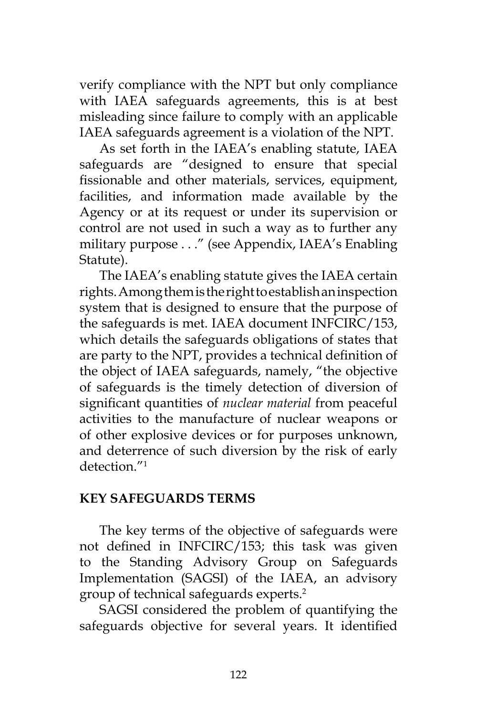verify compliance with the NPT but only compliance with IAEA safeguards agreements, this is at best misleading since failure to comply with an applicable IAEA safeguards agreement is a violation of the NPT.

As set forth in the IAEA's enabling statute, IAEA safeguards are "designed to ensure that special fissionable and other materials, services, equipment, facilities, and information made available by the Agency or at its request or under its supervision or control are not used in such a way as to further any military purpose . . ." (see Appendix, IAEA's Enabling Statute).

The IAEA's enabling statute gives the IAEA certain rights. Among them is the right to establish an inspection system that is designed to ensure that the purpose of the safeguards is met. IAEA document INFCIRC/153, which details the safeguards obligations of states that are party to the NPT, provides a technical definition of the object of IAEA safeguards, namely, "the objective of safeguards is the timely detection of diversion of significant quantities of *nuclear material* from peaceful activities to the manufacture of nuclear weapons or of other explosive devices or for purposes unknown, and deterrence of such diversion by the risk of early  $d$ etection $''<sup>1</sup>$ 

# **KEY SAFEGUARDS TERMS**

The key terms of the objective of safeguards were not defined in INFCIRC/153; this task was given to the Standing Advisory Group on Safeguards Implementation (SAGSI) of the IAEA, an advisory group of technical safeguards experts.2

SAGSI considered the problem of quantifying the safeguards objective for several years. It identified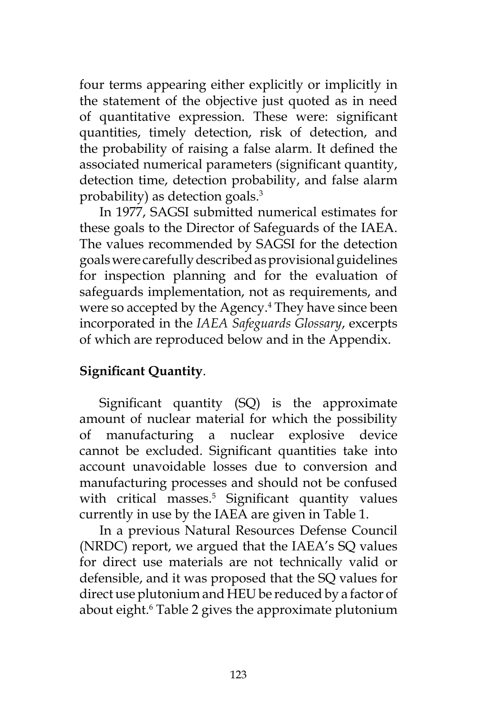four terms appearing either explicitly or implicitly in the statement of the objective just quoted as in need of quantitative expression. These were: significant quantities, timely detection, risk of detection, and the probability of raising a false alarm. It defined the associated numerical parameters (significant quantity, detection time, detection probability, and false alarm probability) as detection goals.3

In 1977, SAGSI submitted numerical estimates for these goals to the Director of Safeguards of the IAEA. The values recommended by SAGSI for the detection goals were carefully described as provisional guidelines for inspection planning and for the evaluation of safeguards implementation, not as requirements, and were so accepted by the Agency.<sup>4</sup> They have since been incorporated in the *IAEA Safeguards Glossary*, excerpts of which are reproduced below and in the Appendix.

# **Significant Quantity**.

Significant quantity (SQ) is the approximate amount of nuclear material for which the possibility of manufacturing a nuclear explosive device cannot be excluded. Significant quantities take into account unavoidable losses due to conversion and manufacturing processes and should not be confused with critical masses.<sup>5</sup> Significant quantity values currently in use by the IAEA are given in Table 1.

In a previous Natural Resources Defense Council (NRDC) report, we argued that the IAEA's SQ values for direct use materials are not technically valid or defensible, and it was proposed that the SQ values for direct use plutonium and HEU be reduced by a factor of about eight.6 Table 2 gives the approximate plutonium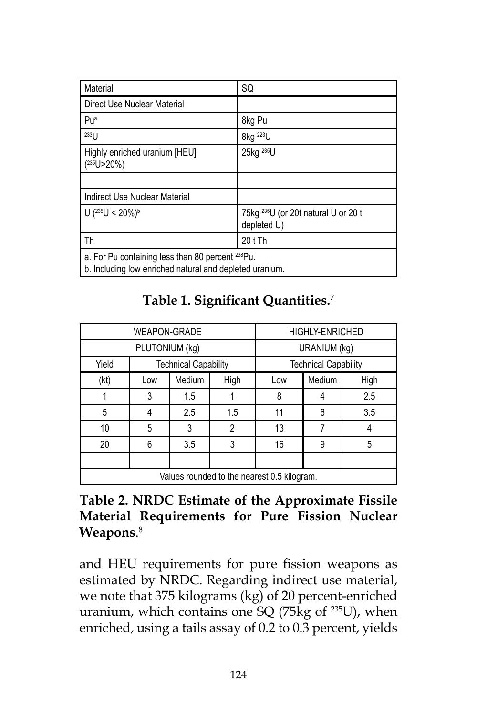| Material                                                                                                                | SQ                                                             |  |
|-------------------------------------------------------------------------------------------------------------------------|----------------------------------------------------------------|--|
| Direct Use Nuclear Material                                                                                             |                                                                |  |
| Puª                                                                                                                     | 8kg Pu                                                         |  |
| 233                                                                                                                     | 8kg <sup>223</sup> U                                           |  |
| Highly enriched uranium [HEU]<br>( <sup>235</sup> U>20%)                                                                | 25kg <sup>235</sup> U                                          |  |
|                                                                                                                         |                                                                |  |
| Indirect Use Nuclear Material                                                                                           |                                                                |  |
| U $(^{235}$ U < 20%) <sup>b</sup>                                                                                       | 75kg <sup>235</sup> U (or 20t natural U or 20 t<br>depleted U) |  |
| Th                                                                                                                      | 20 t Th                                                        |  |
| a. For Pu containing less than 80 percent <sup>238</sup> Pu.<br>b. Including low enriched natural and depleted uranium. |                                                                |  |

| Table 1. Significant Quantities. <sup>7</sup> |  |  |  |
|-----------------------------------------------|--|--|--|
|-----------------------------------------------|--|--|--|

| <b>WEAPON-GRADE</b>                         |     | <b>HIGHLY-ENRICHED</b>      |      |     |        |      |
|---------------------------------------------|-----|-----------------------------|------|-----|--------|------|
| PLUTONIUM (kg)                              |     | URANIUM (kg)                |      |     |        |      |
| Yield<br><b>Technical Capability</b>        |     | <b>Technical Capability</b> |      |     |        |      |
| (kt)                                        | Low | Medium                      | High | Low | Medium | High |
|                                             | 3   | 1.5                         |      | 8   |        | 2.5  |
| 5                                           | 4   | 2.5                         | 1.5  | 11  | 6      | 3.5  |
| 10                                          | 5   | 3                           | 2    | 13  |        |      |
| 20                                          | 6   | 3.5                         | 3    | 16  | 9      | 5    |
|                                             |     |                             |      |     |        |      |
| Values rounded to the nearest 0.5 kilogram. |     |                             |      |     |        |      |

# **Table 2. NRDC Estimate of the Approximate Fissile Material Requirements for Pure Fission Nuclear Weapons**. 8

and HEU requirements for pure fission weapons as estimated by NRDC. Regarding indirect use material, we note that 375 kilograms (kg) of 20 percent-enriched uranium, which contains one SQ (75 $kg$  of  $^{235}$ U), when enriched, using a tails assay of 0.2 to 0.3 percent, yields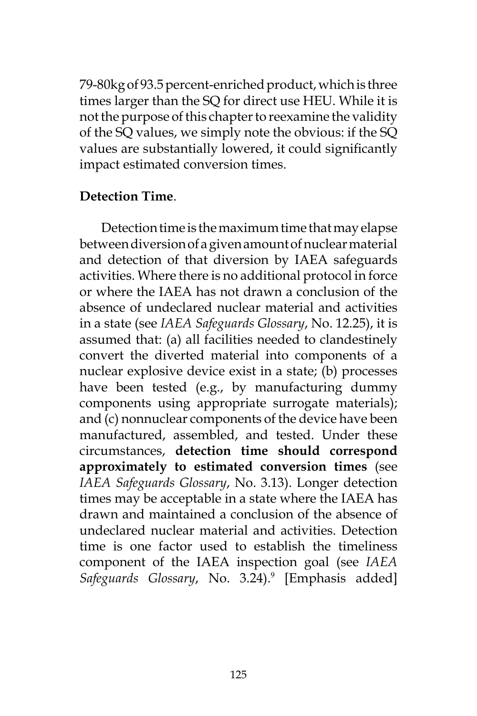79-80kg of 93.5 percent-enriched product, which is three times larger than the SQ for direct use HEU. While it is not the purpose of this chapter to reexamine the validity of the SQ values, we simply note the obvious: if the SQ values are substantially lowered, it could significantly impact estimated conversion times.

### **Detection Time**.

 Detection time is the maximum time that may elapse between diversion of a given amount of nuclear material and detection of that diversion by IAEA safeguards activities. Where there is no additional protocol in force or where the IAEA has not drawn a conclusion of the absence of undeclared nuclear material and activities in a state (see *IAEA Safeguards Glossary*, No. 12.25), it is assumed that: (a) all facilities needed to clandestinely convert the diverted material into components of a nuclear explosive device exist in a state; (b) processes have been tested (e.g., by manufacturing dummy components using appropriate surrogate materials); and (c) nonnuclear components of the device have been manufactured, assembled, and tested. Under these circumstances, **detection time should correspond approximately to estimated conversion times** (see *IAEA Safeguards Glossary*, No. 3.13). Longer detection times may be acceptable in a state where the IAEA has drawn and maintained a conclusion of the absence of undeclared nuclear material and activities. Detection time is one factor used to establish the timeliness component of the IAEA inspection goal (see *IAEA*  Safeguards Glossary, No. 3.24).<sup>9</sup> [Emphasis added]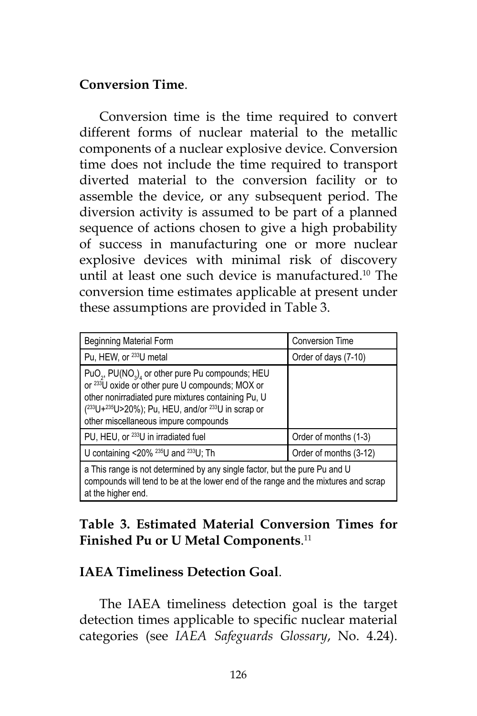### **Conversion Time**.

Conversion time is the time required to convert different forms of nuclear material to the metallic components of a nuclear explosive device. Conversion time does not include the time required to transport diverted material to the conversion facility or to assemble the device, or any subsequent period. The diversion activity is assumed to be part of a planned sequence of actions chosen to give a high probability of success in manufacturing one or more nuclear explosive devices with minimal risk of discovery until at least one such device is manufactured.10 The conversion time estimates applicable at present under these assumptions are provided in Table 3.

| <b>Beginning Material Form</b>                                                                                                                                                                                                                                                                               | <b>Conversion Time</b> |  |
|--------------------------------------------------------------------------------------------------------------------------------------------------------------------------------------------------------------------------------------------------------------------------------------------------------------|------------------------|--|
| Pu, HEW, or <sup>233</sup> U metal                                                                                                                                                                                                                                                                           | Order of days (7-10)   |  |
| PuO <sub>2</sub> , PU(NO <sub>3</sub> ) <sub>4</sub> or other pure Pu compounds; HEU<br>or <sup>233</sup> U oxide or other pure U compounds; MOX or<br>other nonirradiated pure mixtures containing Pu, U<br>$(233U+235U>20\%)$ ; Pu, HEU, and/or $233U$ in scrap or<br>other miscellaneous impure compounds |                        |  |
| PU, HEU, or <sup>233</sup> U in irradiated fuel                                                                                                                                                                                                                                                              | Order of months (1-3)  |  |
| U containing <20% $^{235}$ U and $^{233}$ U; Th                                                                                                                                                                                                                                                              | Order of months (3-12) |  |
| a This range is not determined by any single factor, but the pure Pu and U<br>compounds will tend to be at the lower end of the range and the mixtures and scrap<br>at the higher end.                                                                                                                       |                        |  |

# **Table 3. Estimated Material Conversion Times for Finished Pu or U Metal Components**. 11

# **IAEA Timeliness Detection Goal**.

The IAEA timeliness detection goal is the target detection times applicable to specific nuclear material categories (see *IAEA Safeguards Glossary*, No. 4.24).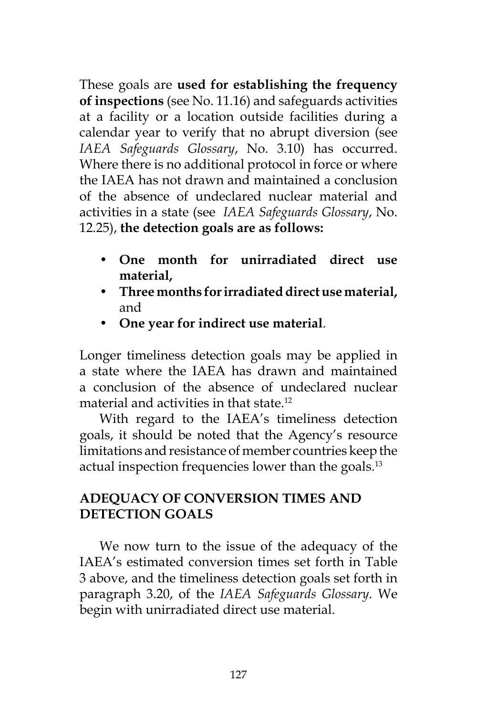These goals are **used for establishing the frequency of inspections** (see No. 11.16) and safeguards activities at a facility or a location outside facilities during a calendar year to verify that no abrupt diversion (see *IAEA Safeguards Glossary*, No. 3.10) has occurred. Where there is no additional protocol in force or where the IAEA has not drawn and maintained a conclusion of the absence of undeclared nuclear material and activities in a state (see *IAEA Safeguards Glossary*, No. 12.25), **the detection goals are as follows:**

- **• One month for unirradiated direct use material,**
- **• Three months for irradiated direct use material,** and
- **• One year for indirect use material**.

Longer timeliness detection goals may be applied in a state where the IAEA has drawn and maintained a conclusion of the absence of undeclared nuclear material and activities in that state.12

With regard to the IAEA's timeliness detection goals, it should be noted that the Agency's resource limitations and resistance of member countries keep the actual inspection frequencies lower than the goals.<sup>13</sup>

# **ADEQUACY OF CONVERSION TIMES AND DETECTION GOALS**

We now turn to the issue of the adequacy of the IAEA's estimated conversion times set forth in Table 3 above, and the timeliness detection goals set forth in paragraph 3.20, of the *IAEA Safeguards Glossary*. We begin with unirradiated direct use material.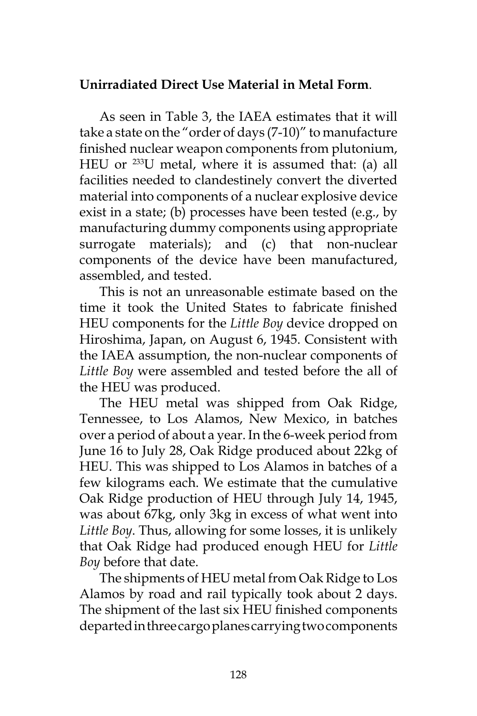# **Unirradiated Direct Use Material in Metal Form**.

As seen in Table 3, the IAEA estimates that it will take a state on the "order of days (7-10)" to manufacture finished nuclear weapon components from plutonium, HEU or 233U metal, where it is assumed that: (a) all facilities needed to clandestinely convert the diverted material into components of a nuclear explosive device exist in a state; (b) processes have been tested (e.g., by manufacturing dummy components using appropriate surrogate materials); and (c) that non-nuclear components of the device have been manufactured, assembled, and tested.

This is not an unreasonable estimate based on the time it took the United States to fabricate finished HEU components for the *Little Boy* device dropped on Hiroshima, Japan, on August 6, 1945. Consistent with the IAEA assumption, the non-nuclear components of *Little Boy* were assembled and tested before the all of the HEU was produced.

The HEU metal was shipped from Oak Ridge, Tennessee, to Los Alamos, New Mexico, in batches over a period of about a year. In the 6-week period from June 16 to July 28, Oak Ridge produced about 22kg of HEU. This was shipped to Los Alamos in batches of a few kilograms each. We estimate that the cumulative Oak Ridge production of HEU through July 14, 1945, was about 67kg, only 3kg in excess of what went into *Little Boy*. Thus, allowing for some losses, it is unlikely that Oak Ridge had produced enough HEU for *Little Boy* before that date.

The shipments of HEU metal from Oak Ridge to Los Alamos by road and rail typically took about 2 days. The shipment of the last six HEU finished components departed in three cargo planes carrying two components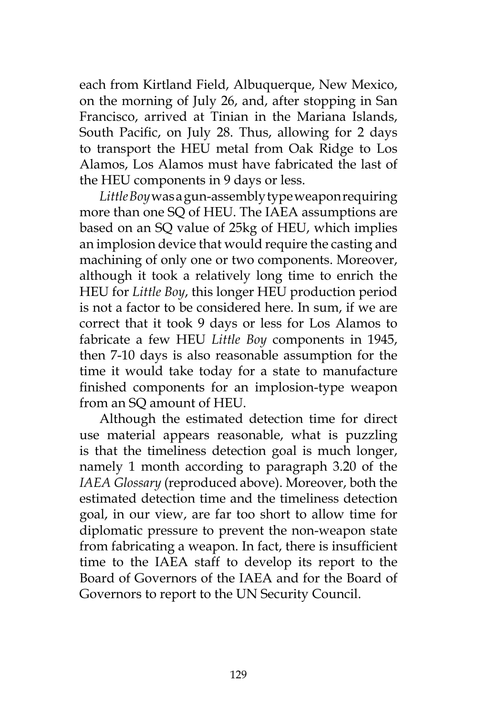each from Kirtland Field, Albuquerque, New Mexico, on the morning of July 26, and, after stopping in San Francisco, arrived at Tinian in the Mariana Islands, South Pacific, on July 28. Thus, allowing for 2 days to transport the HEU metal from Oak Ridge to Los Alamos, Los Alamos must have fabricated the last of the HEU components in 9 days or less.

*Little Boy* was a gun-assembly type weapon requiring more than one SQ of HEU. The IAEA assumptions are based on an SQ value of 25kg of HEU, which implies an implosion device that would require the casting and machining of only one or two components. Moreover, although it took a relatively long time to enrich the HEU for *Little Boy*, this longer HEU production period is not a factor to be considered here. In sum, if we are correct that it took 9 days or less for Los Alamos to fabricate a few HEU *Little Boy* components in 1945, then 7-10 days is also reasonable assumption for the time it would take today for a state to manufacture finished components for an implosion-type weapon from an SQ amount of HEU.

Although the estimated detection time for direct use material appears reasonable, what is puzzling is that the timeliness detection goal is much longer, namely 1 month according to paragraph 3.20 of the *IAEA Glossary* (reproduced above). Moreover, both the estimated detection time and the timeliness detection goal, in our view, are far too short to allow time for diplomatic pressure to prevent the non-weapon state from fabricating a weapon. In fact, there is insufficient time to the IAEA staff to develop its report to the Board of Governors of the IAEA and for the Board of Governors to report to the UN Security Council.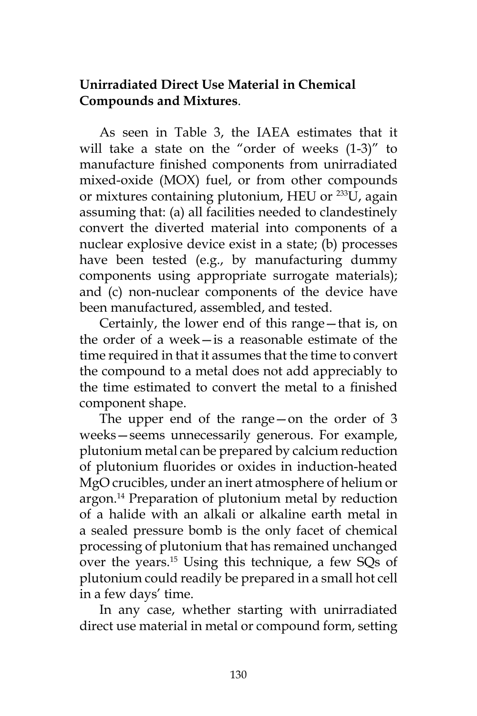# **Unirradiated Direct Use Material in Chemical Compounds and Mixtures**.

As seen in Table 3, the IAEA estimates that it will take a state on the "order of weeks (1-3)" to manufacture finished components from unirradiated mixed-oxide (MOX) fuel, or from other compounds or mixtures containing plutonium, HEU or <sup>233</sup>U, again assuming that: (a) all facilities needed to clandestinely convert the diverted material into components of a nuclear explosive device exist in a state; (b) processes have been tested (e.g., by manufacturing dummy components using appropriate surrogate materials); and (c) non-nuclear components of the device have been manufactured, assembled, and tested.

Certainly, the lower end of this range—that is, on the order of a week—is a reasonable estimate of the time required in that it assumes that the time to convert the compound to a metal does not add appreciably to the time estimated to convert the metal to a finished component shape.

The upper end of the range—on the order of 3 weeks—seems unnecessarily generous. For example, plutonium metal can be prepared by calcium reduction of plutonium fluorides or oxides in induction-heated MgO crucibles, under an inert atmosphere of helium or argon.14 Preparation of plutonium metal by reduction of a halide with an alkali or alkaline earth metal in a sealed pressure bomb is the only facet of chemical processing of plutonium that has remained unchanged over the years.15 Using this technique, a few SQs of plutonium could readily be prepared in a small hot cell in a few days' time.

In any case, whether starting with unirradiated direct use material in metal or compound form, setting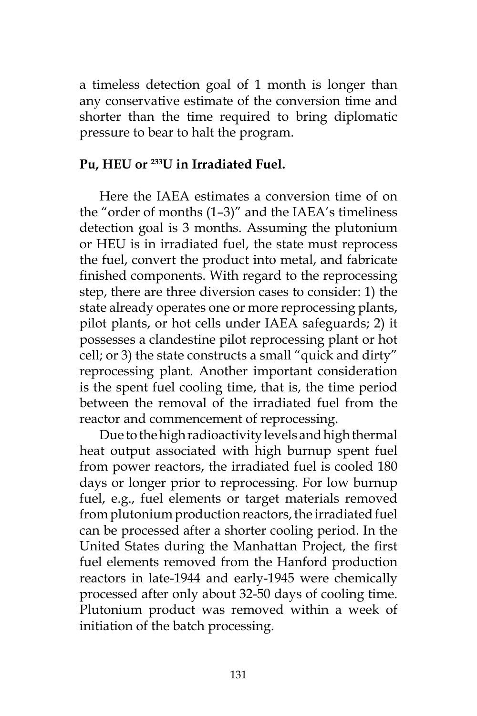a timeless detection goal of 1 month is longer than any conservative estimate of the conversion time and shorter than the time required to bring diplomatic pressure to bear to halt the program.

## **Pu, HEU or 233U in Irradiated Fuel.**

Here the IAEA estimates a conversion time of on the "order of months (1–3)" and the IAEA's timeliness detection goal is 3 months. Assuming the plutonium or HEU is in irradiated fuel, the state must reprocess the fuel, convert the product into metal, and fabricate finished components. With regard to the reprocessing step, there are three diversion cases to consider: 1) the state already operates one or more reprocessing plants, pilot plants, or hot cells under IAEA safeguards; 2) it possesses a clandestine pilot reprocessing plant or hot cell; or 3) the state constructs a small "quick and dirty" reprocessing plant. Another important consideration is the spent fuel cooling time, that is, the time period between the removal of the irradiated fuel from the reactor and commencement of reprocessing.

Due to the high radioactivity levels and high thermal heat output associated with high burnup spent fuel from power reactors, the irradiated fuel is cooled 180 days or longer prior to reprocessing. For low burnup fuel, e.g., fuel elements or target materials removed from plutonium production reactors, the irradiated fuel can be processed after a shorter cooling period. In the United States during the Manhattan Project, the first fuel elements removed from the Hanford production reactors in late-1944 and early-1945 were chemically processed after only about 32-50 days of cooling time. Plutonium product was removed within a week of initiation of the batch processing.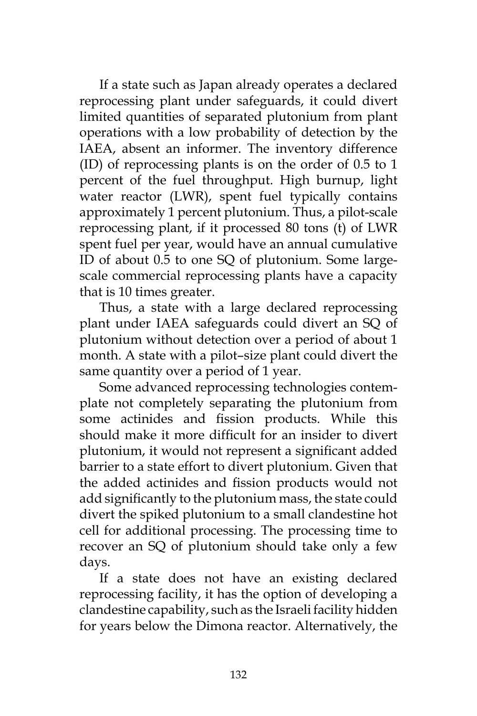If a state such as Japan already operates a declared reprocessing plant under safeguards, it could divert limited quantities of separated plutonium from plant operations with a low probability of detection by the IAEA, absent an informer. The inventory difference (ID) of reprocessing plants is on the order of 0.5 to 1 percent of the fuel throughput. High burnup, light water reactor (LWR), spent fuel typically contains approximately 1 percent plutonium. Thus, a pilot-scale reprocessing plant, if it processed 80 tons (t) of LWR spent fuel per year, would have an annual cumulative ID of about 0.5 to one SQ of plutonium. Some largescale commercial reprocessing plants have a capacity that is 10 times greater.

Thus, a state with a large declared reprocessing plant under IAEA safeguards could divert an SQ of plutonium without detection over a period of about 1 month. A state with a pilot–size plant could divert the same quantity over a period of 1 year.

Some advanced reprocessing technologies contemplate not completely separating the plutonium from some actinides and fission products. While this should make it more difficult for an insider to divert plutonium, it would not represent a significant added barrier to a state effort to divert plutonium. Given that the added actinides and fission products would not add significantly to the plutonium mass, the state could divert the spiked plutonium to a small clandestine hot cell for additional processing. The processing time to recover an SQ of plutonium should take only a few days.

If a state does not have an existing declared reprocessing facility, it has the option of developing a clandestine capability, such as the Israeli facility hidden for years below the Dimona reactor. Alternatively, the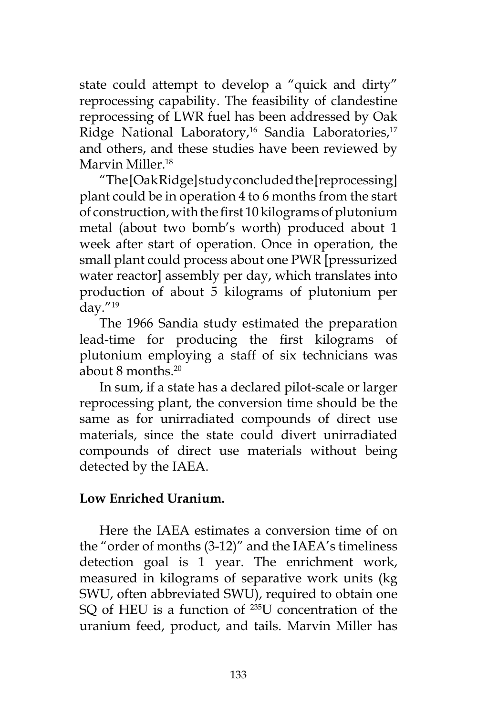state could attempt to develop a "quick and dirty" reprocessing capability. The feasibility of clandestine reprocessing of LWR fuel has been addressed by Oak Ridge National Laboratory,<sup>16</sup> Sandia Laboratories,<sup>17</sup> and others, and these studies have been reviewed by Marvin Miller.<sup>18</sup>

"The [Oak Ridge] study concluded the [reprocessing] plant could be in operation 4 to 6 months from the start of construction, with the first 10 kilograms of plutonium metal (about two bomb's worth) produced about 1 week after start of operation. Once in operation, the small plant could process about one PWR [pressurized water reactor] assembly per day, which translates into production of about 5 kilograms of plutonium per day."19

The 1966 Sandia study estimated the preparation lead-time for producing the first kilograms of plutonium employing a staff of six technicians was about 8 months.20

In sum, if a state has a declared pilot-scale or larger reprocessing plant, the conversion time should be the same as for unirradiated compounds of direct use materials, since the state could divert unirradiated compounds of direct use materials without being detected by the IAEA.

# **Low Enriched Uranium.**

Here the IAEA estimates a conversion time of on the "order of months (3-12)" and the IAEA's timeliness detection goal is 1 year. The enrichment work, measured in kilograms of separative work units (kg SWU, often abbreviated SWU), required to obtain one SQ of HEU is a function of <sup>235</sup>U concentration of the uranium feed, product, and tails. Marvin Miller has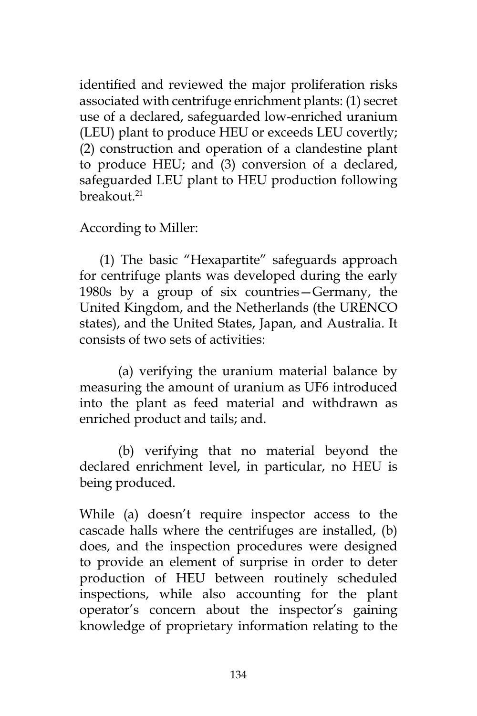identified and reviewed the major proliferation risks associated with centrifuge enrichment plants: (1) secret use of a declared, safeguarded low-enriched uranium (LEU) plant to produce HEU or exceeds LEU covertly; (2) construction and operation of a clandestine plant to produce HEU; and (3) conversion of a declared, safeguarded LEU plant to HEU production following breakout $21$ 

According to Miller:

(1) The basic "Hexapartite" safeguards approach for centrifuge plants was developed during the early 1980s by a group of six countries—Germany, the United Kingdom, and the Netherlands (the URENCO states), and the United States, Japan, and Australia. It consists of two sets of activities:

(a) verifying the uranium material balance by measuring the amount of uranium as UF6 introduced into the plant as feed material and withdrawn as enriched product and tails; and.

(b) verifying that no material beyond the declared enrichment level, in particular, no HEU is being produced.

While (a) doesn't require inspector access to the cascade halls where the centrifuges are installed, (b) does, and the inspection procedures were designed to provide an element of surprise in order to deter production of HEU between routinely scheduled inspections, while also accounting for the plant operator's concern about the inspector's gaining knowledge of proprietary information relating to the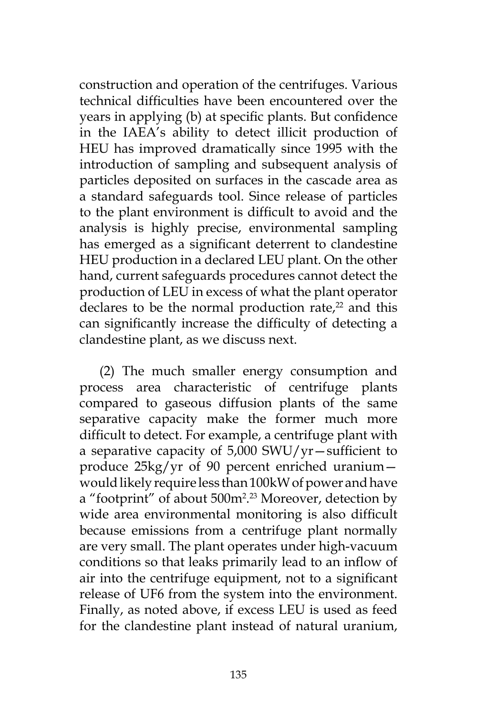construction and operation of the centrifuges. Various technical difficulties have been encountered over the years in applying (b) at specific plants. But confidence in the IAEA's ability to detect illicit production of HEU has improved dramatically since 1995 with the introduction of sampling and subsequent analysis of particles deposited on surfaces in the cascade area as a standard safeguards tool. Since release of particles to the plant environment is difficult to avoid and the analysis is highly precise, environmental sampling has emerged as a significant deterrent to clandestine HEU production in a declared LEU plant. On the other hand, current safeguards procedures cannot detect the production of LEU in excess of what the plant operator declares to be the normal production rate, $2<sup>2</sup>$  and this can significantly increase the difficulty of detecting a clandestine plant, as we discuss next.

(2) The much smaller energy consumption and process area characteristic of centrifuge plants compared to gaseous diffusion plants of the same separative capacity make the former much more difficult to detect. For example, a centrifuge plant with a separative capacity of 5,000 SWU/yr—sufficient to produce 25kg/yr of 90 percent enriched uranium would likely require less than 100kW of power and have a "footprint" of about 500m<sup>2</sup>.<sup>23</sup> Moreover, detection by wide area environmental monitoring is also difficult because emissions from a centrifuge plant normally are very small. The plant operates under high-vacuum conditions so that leaks primarily lead to an inflow of air into the centrifuge equipment, not to a significant release of UF6 from the system into the environment. Finally, as noted above, if excess LEU is used as feed for the clandestine plant instead of natural uranium,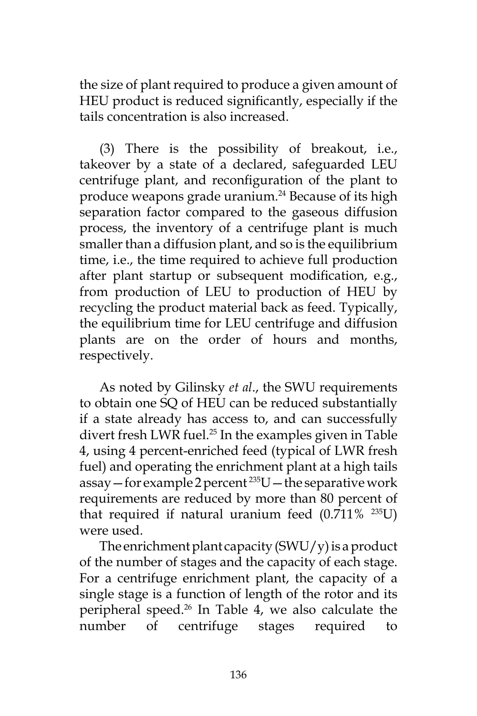the size of plant required to produce a given amount of HEU product is reduced significantly, especially if the tails concentration is also increased.

(3) There is the possibility of breakout, i.e., takeover by a state of a declared, safeguarded LEU centrifuge plant, and reconfiguration of the plant to produce weapons grade uranium.<sup>24</sup> Because of its high separation factor compared to the gaseous diffusion process, the inventory of a centrifuge plant is much smaller than a diffusion plant, and so is the equilibrium time, i.e., the time required to achieve full production after plant startup or subsequent modification, e.g., from production of LEU to production of HEU by recycling the product material back as feed. Typically, the equilibrium time for LEU centrifuge and diffusion plants are on the order of hours and months, respectively.

As noted by Gilinsky *et al*., the SWU requirements to obtain one SQ of HEU can be reduced substantially if a state already has access to, and can successfully divert fresh LWR fuel.<sup>25</sup> In the examples given in Table 4, using 4 percent-enriched feed (typical of LWR fresh fuel) and operating the enrichment plant at a high tails assay – for example 2 percent  $235U$  – the separative work requirements are reduced by more than 80 percent of that required if natural uranium feed  $(0.711\%$  <sup>235</sup>U) were used.

The enrichment plant capacity  $(SWU/y)$  is a product of the number of stages and the capacity of each stage. For a centrifuge enrichment plant, the capacity of a single stage is a function of length of the rotor and its peripheral speed.26 In Table 4, we also calculate the number of centrifuge stages required to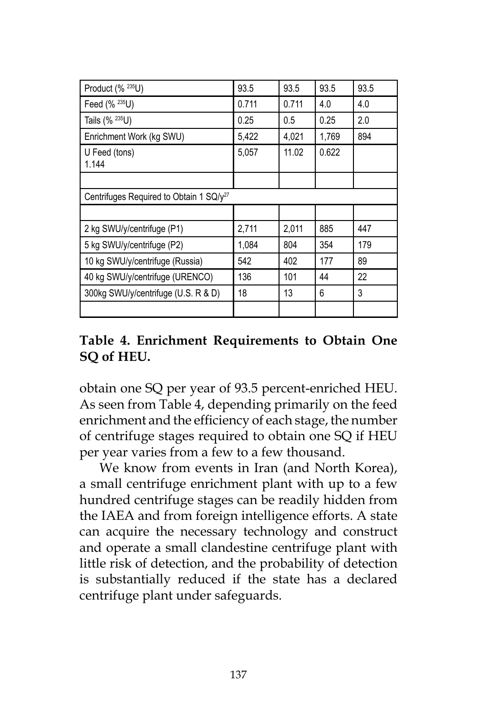| Product (% 235U)                                    | 93.5  | 93.5  | 93.5  | 93.5 |
|-----------------------------------------------------|-------|-------|-------|------|
| Feed (% 235U)                                       | 0.711 | 0.711 | 4.0   | 4.0  |
| Tails (% 235U)                                      | 0.25  | 0.5   | 0.25  | 2.0  |
| Enrichment Work (kg SWU)                            | 5,422 | 4,021 | 1,769 | 894  |
| U Feed (tons)<br>1.144                              | 5.057 | 11.02 | 0.622 |      |
|                                                     |       |       |       |      |
| Centrifuges Required to Obtain 1 SQ/y <sup>27</sup> |       |       |       |      |
|                                                     |       |       |       |      |
| 2 kg SWU/y/centrifuge (P1)                          | 2,711 | 2,011 | 885   | 447  |
| 5 kg SWU/y/centrifuge (P2)                          | 1,084 | 804   | 354   | 179  |
| 10 kg SWU/y/centrifuge (Russia)                     | 542   | 402   | 177   | 89   |
| 40 kg SWU/y/centrifuge (URENCO)                     | 136   | 101   | 44    | 22   |
| 300kg SWU/y/centrifuge (U.S. R & D)                 | 18    | 13    | 6     | 3    |
|                                                     |       |       |       |      |

# **Table 4. Enrichment Requirements to Obtain One SQ of HEU.**

obtain one SQ per year of 93.5 percent-enriched HEU. As seen from Table 4, depending primarily on the feed enrichment and the efficiency of each stage, the number of centrifuge stages required to obtain one SQ if HEU per year varies from a few to a few thousand.

We know from events in Iran (and North Korea), a small centrifuge enrichment plant with up to a few hundred centrifuge stages can be readily hidden from the IAEA and from foreign intelligence efforts. A state can acquire the necessary technology and construct and operate a small clandestine centrifuge plant with little risk of detection, and the probability of detection is substantially reduced if the state has a declared centrifuge plant under safeguards.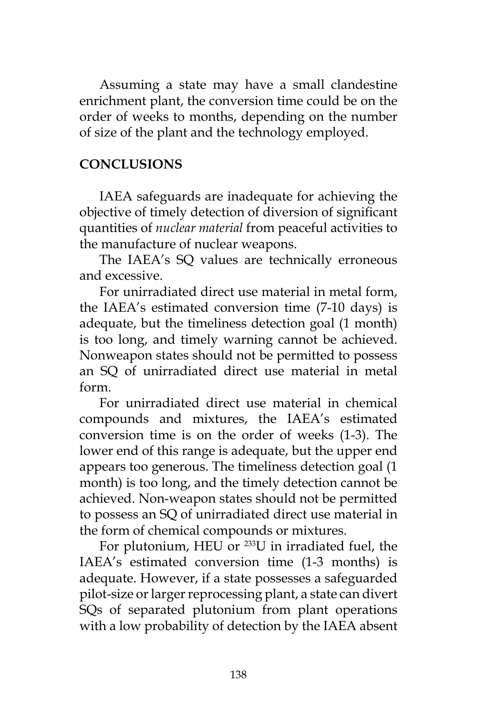Assuming a state may have a small clandestine enrichment plant, the conversion time could be on the order of weeks to months, depending on the number of size of the plant and the technology employed.

### **CONCLUSIONS**

IAEA safeguards are inadequate for achieving the objective of timely detection of diversion of significant quantities of *nuclear material* from peaceful activities to the manufacture of nuclear weapons.

The IAEA's SQ values are technically erroneous and excessive.

For unirradiated direct use material in metal form, the IAEA's estimated conversion time (7-10 days) is adequate, but the timeliness detection goal (1 month) is too long, and timely warning cannot be achieved. Nonweapon states should not be permitted to possess an SQ of unirradiated direct use material in metal form.

For unirradiated direct use material in chemical compounds and mixtures, the IAEA's estimated conversion time is on the order of weeks (1-3). The lower end of this range is adequate, but the upper end appears too generous. The timeliness detection goal (1 month) is too long, and the timely detection cannot be achieved. Non-weapon states should not be permitted to possess an SQ of unirradiated direct use material in the form of chemical compounds or mixtures.

For plutonium, HEU or 233U in irradiated fuel, the IAEA's estimated conversion time (1-3 months) is adequate. However, if a state possesses a safeguarded pilot-size or larger reprocessing plant, a state can divert SQs of separated plutonium from plant operations with a low probability of detection by the IAEA absent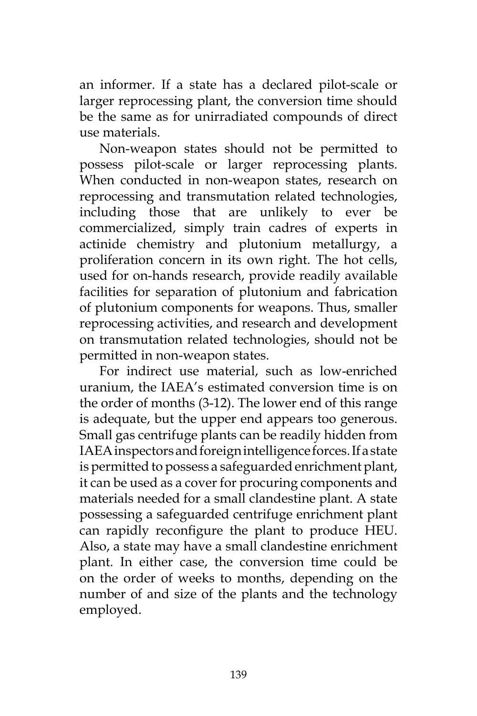an informer. If a state has a declared pilot-scale or larger reprocessing plant, the conversion time should be the same as for unirradiated compounds of direct use materials.

Non-weapon states should not be permitted to possess pilot-scale or larger reprocessing plants. When conducted in non-weapon states, research on reprocessing and transmutation related technologies, including those that are unlikely to ever be commercialized, simply train cadres of experts in actinide chemistry and plutonium metallurgy, a proliferation concern in its own right. The hot cells, used for on-hands research, provide readily available facilities for separation of plutonium and fabrication of plutonium components for weapons. Thus, smaller reprocessing activities, and research and development on transmutation related technologies, should not be permitted in non-weapon states.

For indirect use material, such as low-enriched uranium, the IAEA's estimated conversion time is on the order of months (3-12). The lower end of this range is adequate, but the upper end appears too generous. Small gas centrifuge plants can be readily hidden from IAEA inspectors and foreign intelligence forces. If a state is permitted to possess a safeguarded enrichment plant, it can be used as a cover for procuring components and materials needed for a small clandestine plant. A state possessing a safeguarded centrifuge enrichment plant can rapidly reconfigure the plant to produce HEU. Also, a state may have a small clandestine enrichment plant. In either case, the conversion time could be on the order of weeks to months, depending on the number of and size of the plants and the technology employed.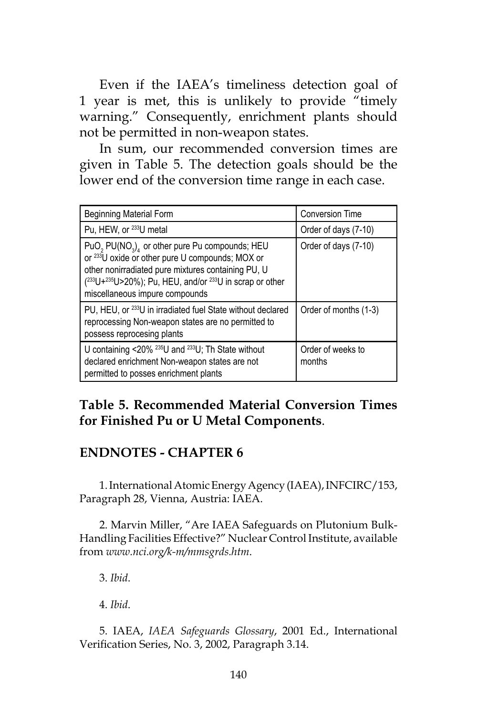Even if the IAEA's timeliness detection goal of 1 year is met, this is unlikely to provide "timely warning." Consequently, enrichment plants should not be permitted in non-weapon states.

In sum, our recommended conversion times are given in Table 5. The detection goals should be the lower end of the conversion time range in each case.

| <b>Beginning Material Form</b>                                                                                                                                                                                                                                                                             | <b>Conversion Time</b>      |  |
|------------------------------------------------------------------------------------------------------------------------------------------------------------------------------------------------------------------------------------------------------------------------------------------------------------|-----------------------------|--|
| Pu, HEW, or <sup>233</sup> U metal                                                                                                                                                                                                                                                                         | Order of days (7-10)        |  |
| PuO <sub>2</sub> PU(NO <sub>3</sub> ) <sub>4</sub> or other pure Pu compounds; HEU<br>or <sup>233</sup> U oxide or other pure U compounds; MOX or<br>other nonirradiated pure mixtures containing PU, U<br>$(233U+235U>20\%)$ ; Pu, HEU, and/or $233U$ in scrap or other<br>miscellaneous impure compounds | Order of days (7-10)        |  |
| PU, HEU, or <sup>233</sup> U in irradiated fuel State without declared<br>reprocessing Non-weapon states are no permitted to<br>possess reprocesing plants                                                                                                                                                 | Order of months (1-3)       |  |
| U containing <20% <sup>235</sup> U and <sup>233</sup> U; Th State without<br>declared enrichment Non-weapon states are not<br>permitted to posses enrichment plants                                                                                                                                        | Order of weeks to<br>months |  |

# **Table 5. Recommended Material Conversion Times for Finished Pu or U Metal Components**.

# **ENDNOTES - CHAPTER 6**

1. International Atomic Energy Agency (IAEA), INFCIRC/153, Paragraph 28, Vienna, Austria: IAEA.

2. Marvin Miller, "Are IAEA Safeguards on Plutonium Bulk-Handling Facilities Effective?" Nuclear Control Institute, available from *www.nci.org/k-m/mmsgrds.htm*.

3. *Ibid*.

4. *Ibid*.

5. IAEA, *IAEA Safeguards Glossary*, 2001 Ed., International Verification Series, No. 3, 2002, Paragraph 3.14.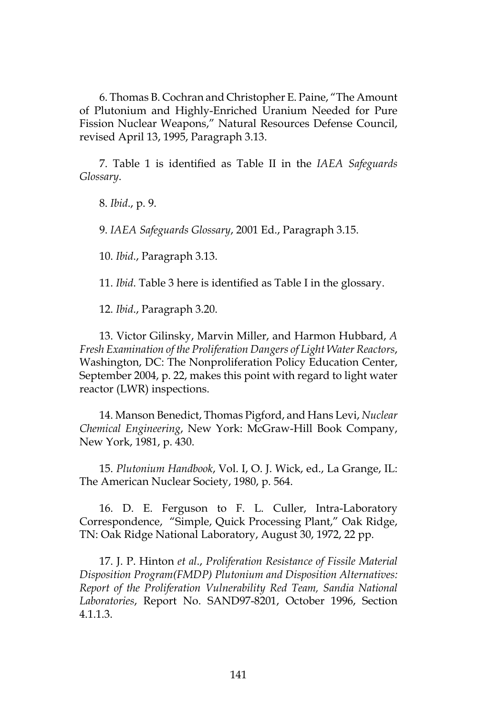6. Thomas B. Cochran and Christopher E. Paine, "The Amount of Plutonium and Highly-Enriched Uranium Needed for Pure Fission Nuclear Weapons," Natural Resources Defense Council, revised April 13, 1995, Paragraph 3.13.

7. Table 1 is identified as Table II in the *IAEA Safeguards Glossary*.

8. *Ibid*., p. 9.

9. *IAEA Safeguards Glossary*, 2001 Ed., Paragraph 3.15.

10. *Ibid*., Paragraph 3.13.

11. *Ibid*. Table 3 here is identified as Table I in the glossary.

12. *Ibid*., Paragraph 3.20.

13. Victor Gilinsky, Marvin Miller, and Harmon Hubbard, *A Fresh Examination of the Proliferation Dangers of Light Water Reactors*, Washington, DC: The Nonproliferation Policy Education Center, September 2004, p. 22, makes this point with regard to light water reactor (LWR) inspections.

14. Manson Benedict, Thomas Pigford, and Hans Levi, *Nuclear Chemical Engineering*, New York: McGraw-Hill Book Company, New York, 1981, p. 430.

15. *Plutonium Handbook*, Vol. I, O. J. Wick, ed., La Grange, IL: The American Nuclear Society, 1980, p. 564.

16. D. E. Ferguson to F. L. Culler, Intra-Laboratory Correspondence, "Simple, Quick Processing Plant," Oak Ridge, TN: Oak Ridge National Laboratory, August 30, 1972, 22 pp.

17. J. P. Hinton *et al*., *Proliferation Resistance of Fissile Material Disposition Program(FMDP) Plutonium and Disposition Alternatives: Report of the Proliferation Vulnerability Red Team, Sandia National Laboratories*, Report No. SAND97-8201, October 1996, Section 4.1.1.3.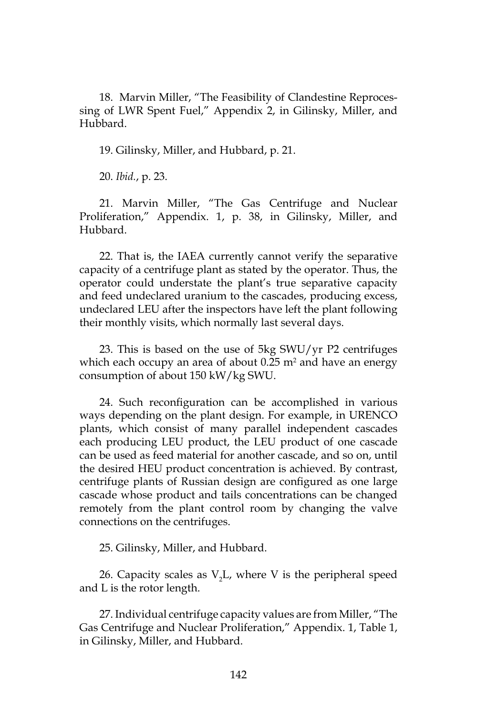18. Marvin Miller, "The Feasibility of Clandestine Reprocessing of LWR Spent Fuel," Appendix 2, in Gilinsky, Miller, and Hubbard.

19. Gilinsky, Miller, and Hubbard, p. 21.

20. *Ibid.*, p. 23.

21. Marvin Miller, "The Gas Centrifuge and Nuclear Proliferation," Appendix. 1, p. 38, in Gilinsky, Miller, and Hubbard.

22. That is, the IAEA currently cannot verify the separative capacity of a centrifuge plant as stated by the operator. Thus, the operator could understate the plant's true separative capacity and feed undeclared uranium to the cascades, producing excess, undeclared LEU after the inspectors have left the plant following their monthly visits, which normally last several days.

23. This is based on the use of 5kg SWU/yr P2 centrifuges which each occupy an area of about 0.25 m<sup>2</sup> and have an energy consumption of about 150 kW/kg SWU.

24. Such reconfiguration can be accomplished in various ways depending on the plant design. For example, in URENCO plants, which consist of many parallel independent cascades each producing LEU product, the LEU product of one cascade can be used as feed material for another cascade, and so on, until the desired HEU product concentration is achieved. By contrast, centrifuge plants of Russian design are configured as one large cascade whose product and tails concentrations can be changed remotely from the plant control room by changing the valve connections on the centrifuges.

25. Gilinsky, Miller, and Hubbard.

26. Capacity scales as  $V_2L$ , where V is the peripheral speed and L is the rotor length.

27. Individual centrifuge capacity values are from Miller, "The Gas Centrifuge and Nuclear Proliferation," Appendix. 1, Table 1, in Gilinsky, Miller, and Hubbard.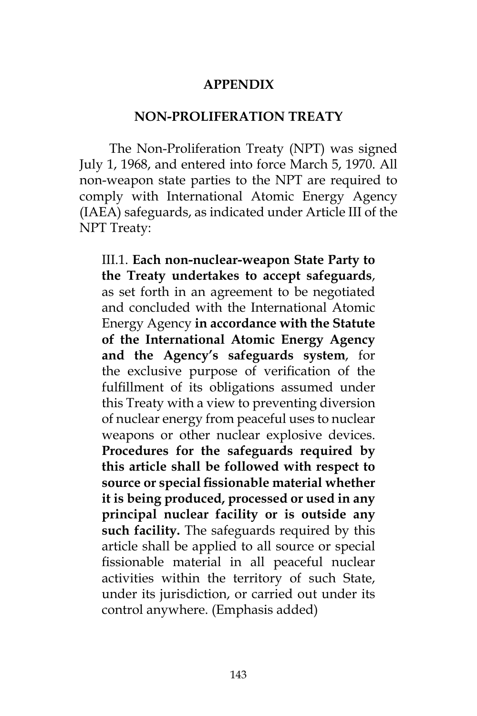#### **APPENDIX**

#### **NON-PROLIFERATION TREATY**

The Non-Proliferation Treaty (NPT) was signed July 1, 1968, and entered into force March 5, 1970. All non-weapon state parties to the NPT are required to comply with International Atomic Energy Agency (IAEA) safeguards, as indicated under Article III of the NPT Treaty:

III.1. **Each non-nuclear-weapon State Party to the Treaty undertakes to accept safeguards**, as set forth in an agreement to be negotiated and concluded with the International Atomic Energy Agency **in accordance with the Statute of the International Atomic Energy Agency and the Agency's safeguards system**, for the exclusive purpose of verification of the fulfillment of its obligations assumed under this Treaty with a view to preventing diversion of nuclear energy from peaceful uses to nuclear weapons or other nuclear explosive devices. **Procedures for the safeguards required by this article shall be followed with respect to source or special fissionable material whether it is being produced, processed or used in any principal nuclear facility or is outside any such facility.** The safeguards required by this article shall be applied to all source or special fissionable material in all peaceful nuclear activities within the territory of such State, under its jurisdiction, or carried out under its control anywhere. (Emphasis added)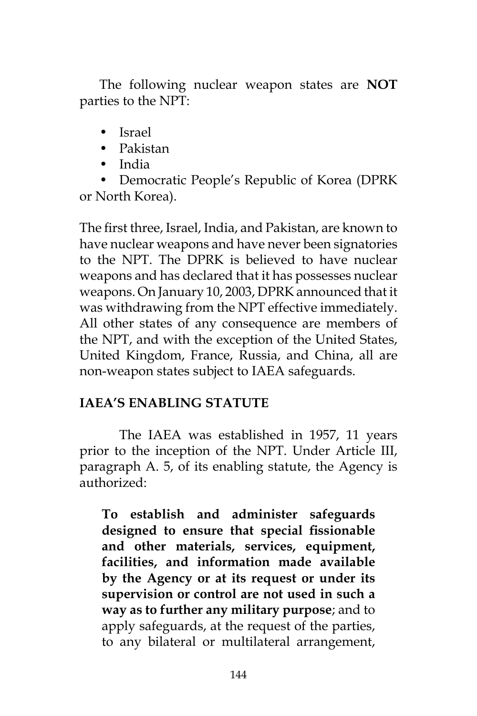The following nuclear weapon states are **NOT**  parties to the NPT:

- Israel
- Pakistan
- India

• Democratic People's Republic of Korea (DPRK or North Korea).

The first three, Israel, India, and Pakistan, are known to have nuclear weapons and have never been signatories to the NPT. The DPRK is believed to have nuclear weapons and has declared that it has possesses nuclear weapons. On January 10, 2003, DPRK announced that it was withdrawing from the NPT effective immediately. All other states of any consequence are members of the NPT, and with the exception of the United States, United Kingdom, France, Russia, and China, all are non-weapon states subject to IAEA safeguards.

# **IAEA'S ENABLING STATUTE**

The IAEA was established in 1957, 11 years prior to the inception of the NPT. Under Article III, paragraph A. 5, of its enabling statute, the Agency is authorized:

**To establish and administer safeguards designed to ensure that special fissionable and other materials, services, equipment, facilities, and information made available by the Agency or at its request or under its supervision or control are not used in such a way as to further any military purpose**; and to apply safeguards, at the request of the parties, to any bilateral or multilateral arrangement,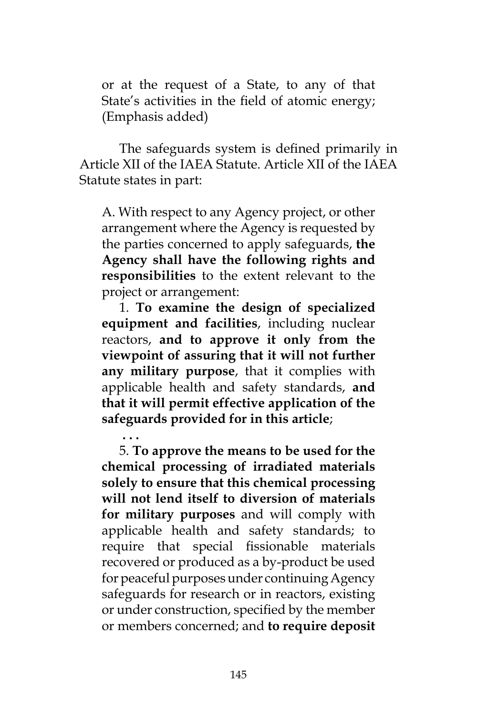or at the request of a State, to any of that State's activities in the field of atomic energy; (Emphasis added)

The safeguards system is defined primarily in Article XII of the IAEA Statute. Article XII of the IAEA Statute states in part:

A. With respect to any Agency project, or other arrangement where the Agency is requested by the parties concerned to apply safeguards, **the Agency shall have the following rights and responsibilities** to the extent relevant to the project or arrangement:

1. **To examine the design of specialized equipment and facilities**, including nuclear reactors, **and to approve it only from the viewpoint of assuring that it will not further any military purpose**, that it complies with applicable health and safety standards, **and that it will permit effective application of the safeguards provided for in this article**;

**. . .** 

5. **To approve the means to be used for the chemical processing of irradiated materials solely to ensure that this chemical processing will not lend itself to diversion of materials for military purposes** and will comply with applicable health and safety standards; to require that special fissionable materials recovered or produced as a by-product be used for peaceful purposes under continuing Agency safeguards for research or in reactors, existing or under construction, specified by the member or members concerned; and **to require deposit**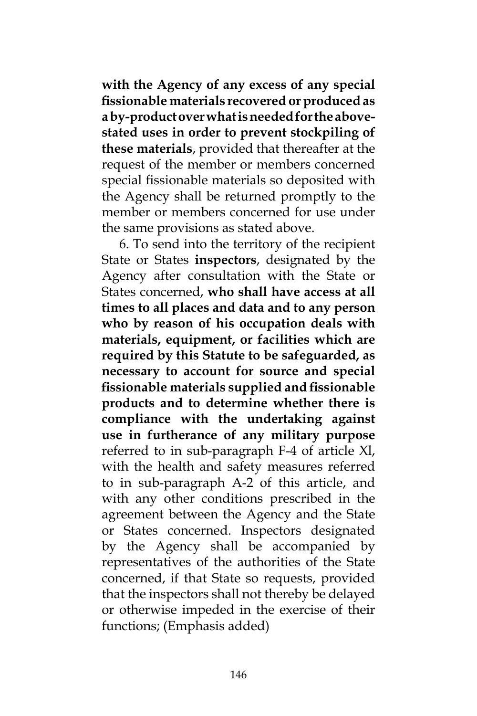**with the Agency of any excess of any special fissionable materials recovered or produced as a by-product over what is needed for the abovestated uses in order to prevent stockpiling of these materials**, provided that thereafter at the request of the member or members concerned special fissionable materials so deposited with the Agency shall be returned promptly to the member or members concerned for use under the same provisions as stated above.

6. To send into the territory of the recipient State or States **inspectors**, designated by the Agency after consultation with the State or States concerned, **who shall have access at all times to all places and data and to any person who by reason of his occupation deals with materials, equipment, or facilities which are required by this Statute to be safeguarded, as necessary to account for source and special fissionable materials supplied and fissionable products and to determine whether there is compliance with the undertaking against use in furtherance of any military purpose**  referred to in sub-paragraph F-4 of article Xl, with the health and safety measures referred to in sub-paragraph A-2 of this article, and with any other conditions prescribed in the agreement between the Agency and the State or States concerned. Inspectors designated by the Agency shall be accompanied by representatives of the authorities of the State concerned, if that State so requests, provided that the inspectors shall not thereby be delayed or otherwise impeded in the exercise of their functions; (Emphasis added)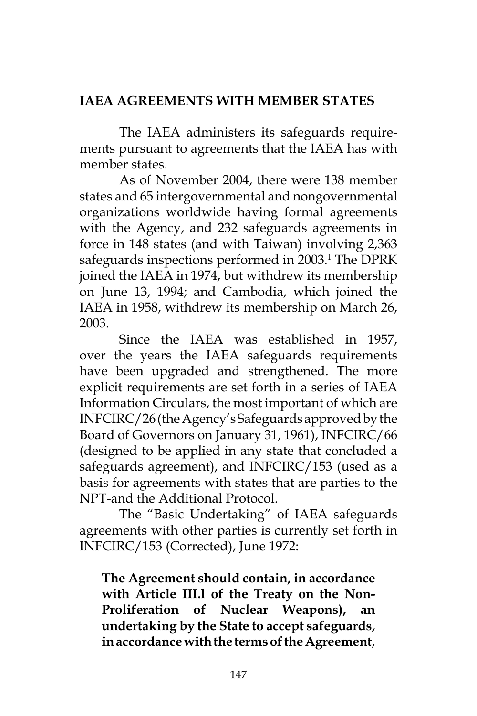# **IAEA AGREEMENTS WITH MEMBER STATES**

The IAEA administers its safeguards requirements pursuant to agreements that the IAEA has with member states.

As of November 2004, there were 138 member states and 65 intergovernmental and nongovernmental organizations worldwide having formal agreements with the Agency, and 232 safeguards agreements in force in 148 states (and with Taiwan) involving 2,363 safeguards inspections performed in 2003.<sup>1</sup> The DPRK joined the IAEA in 1974, but withdrew its membership on June 13, 1994; and Cambodia, which joined the IAEA in 1958, withdrew its membership on March 26, 2003.

Since the IAEA was established in 1957, over the years the IAEA safeguards requirements have been upgraded and strengthened. The more explicit requirements are set forth in a series of IAEA Information Circulars, the most important of which are INFCIRC/26 (the Agency's Safeguards approved by the Board of Governors on January 31, 1961), INFCIRC/66 (designed to be applied in any state that concluded a safeguards agreement), and INFCIRC/153 (used as a basis for agreements with states that are parties to the NPT-and the Additional Protocol.

The "Basic Undertaking" of IAEA safeguards agreements with other parties is currently set forth in INFCIRC/153 (Corrected), June 1972:

**The Agreement should contain, in accordance with Article III.l of the Treaty on the Non-Proliferation of Nuclear Weapons), an undertaking by the State to accept safeguards, in accordance with the terms of the Agreement**,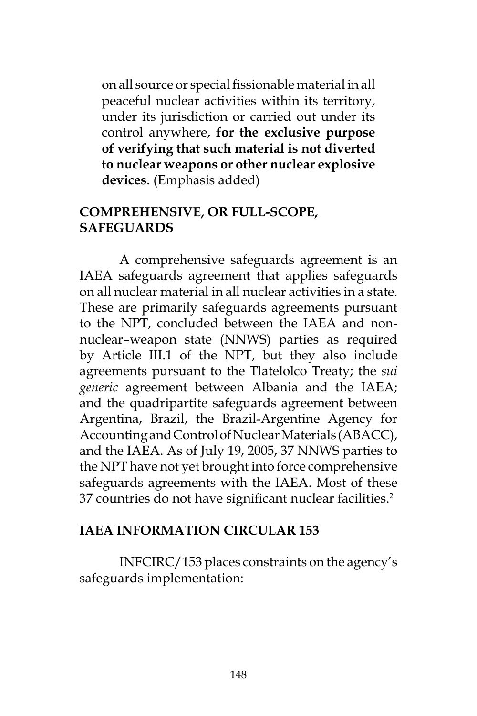on all source or special fissionable material in all peaceful nuclear activities within its territory, under its jurisdiction or carried out under its control anywhere, **for the exclusive purpose of verifying that such material is not diverted to nuclear weapons or other nuclear explosive devices**. (Emphasis added)

### **COMPREHENSIVE, OR FULL-SCOPE, SAFEGUARDS**

A comprehensive safeguards agreement is an IAEA safeguards agreement that applies safeguards on all nuclear material in all nuclear activities in a state. These are primarily safeguards agreements pursuant to the NPT, concluded between the IAEA and nonnuclear–weapon state (NNWS) parties as required by Article III.1 of the NPT, but they also include agreements pursuant to the Tlatelolco Treaty; the *sui generic* agreement between Albania and the IAEA; and the quadripartite safeguards agreement between Argentina, Brazil, the Brazil-Argentine Agency for Accounting and Control of Nuclear Materials (ABACC), and the IAEA. As of July 19, 2005, 37 NNWS parties to the NPT have not yet brought into force comprehensive safeguards agreements with the IAEA. Most of these 37 countries do not have significant nuclear facilities.<sup>2</sup>

### **IAEA INFORMATION CIRCULAR 153**

INFCIRC/153 places constraints on the agency's safeguards implementation: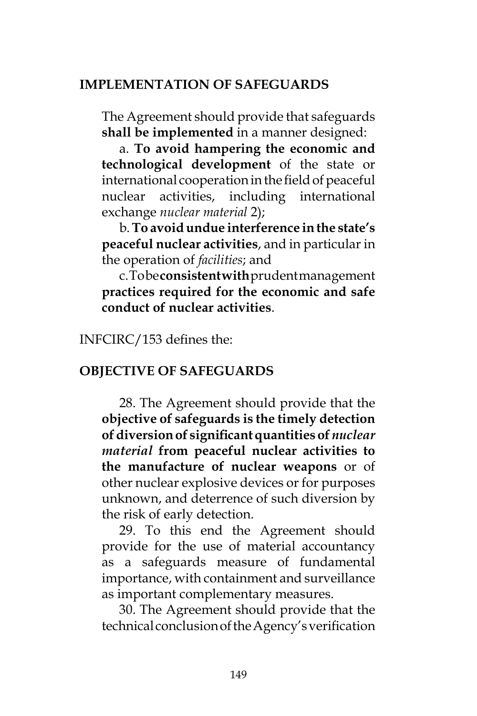### **IMPLEMENTATION OF SAFEGUARDS**

The Agreement should provide that safeguards **shall be implemented** in a manner designed:

a. **To avoid hampering the economic and technological development** of the state or international cooperation in the field of peaceful nuclear activities, including international exchange *nuclear material* 2);

b. **To avoid undue interference in the state's peaceful nuclear activities**, and in particular in the operation of *facilities*; and

c. To be **consistent with** prudent management **practices required for the economic and safe conduct of nuclear activities**.

INFCIRC/153 defines the:

#### **OBJECTIVE OF SAFEGUARDS**

28. The Agreement should provide that the **objective of safeguards is the timely detection of diversion of significant quantities of** *nuclear material* **from peaceful nuclear activities to the manufacture of nuclear weapons** or of other nuclear explosive devices or for purposes unknown, and deterrence of such diversion by the risk of early detection.

29. To this end the Agreement should provide for the use of material accountancy as a safeguards measure of fundamental importance, with containment and surveillance as important complementary measures.

30. The Agreement should provide that the technical conclusion of the Agency's verification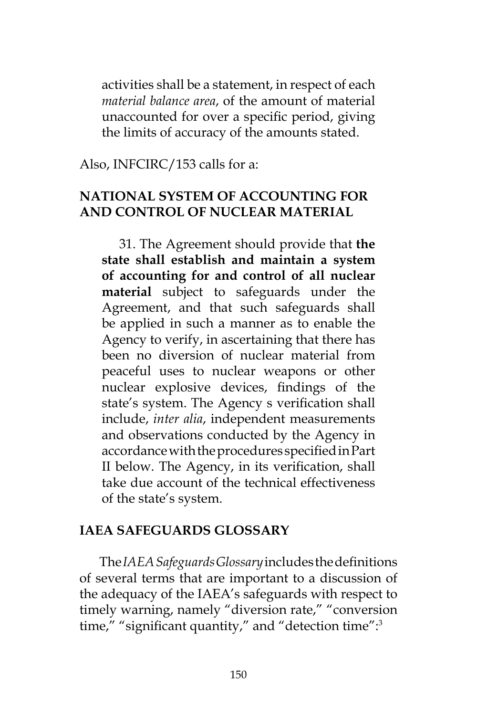activities shall be a statement, in respect of each *material balance area*, of the amount of material unaccounted for over a specific period, giving the limits of accuracy of the amounts stated.

Also, INFCIRC/153 calls for a:

## **NATIONAL SYSTEM OF ACCOUNTING FOR AND CONTROL OF NUCLEAR MATERIAL**

31. The Agreement should provide that **the state shall establish and maintain a system of accounting for and control of all nuclear material** subject to safeguards under the Agreement, and that such safeguards shall be applied in such a manner as to enable the Agency to verify, in ascertaining that there has been no diversion of nuclear material from peaceful uses to nuclear weapons or other nuclear explosive devices, findings of the state's system. The Agency s verification shall include, *inter alia*, independent measurements and observations conducted by the Agency in accordance with the procedures specified in Part II below. The Agency, in its verification, shall take due account of the technical effectiveness of the state's system.

### **IAEA SAFEGUARDS GLOSSARY**

The *IAEA Safeguards Glossary* includes the definitions of several terms that are important to a discussion of the adequacy of the IAEA's safeguards with respect to timely warning, namely "diversion rate," "conversion time," "significant quantity," and "detection time":<sup>3</sup>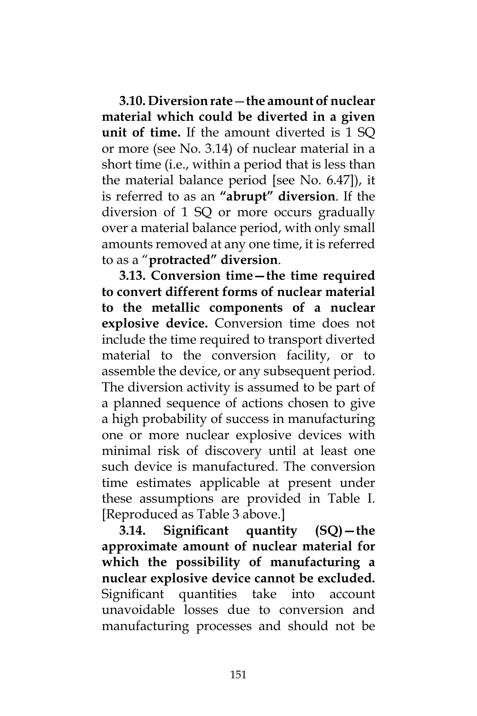**3.10. Diversion rate**—**the amount of nuclear material which could be diverted in a given unit of time.** If the amount diverted is 1 SQ or more (see No. 3.14) of nuclear material in a short time (i.e., within a period that is less than the material balance period [see No. 6.47]), it is referred to as an **"abrupt" diversion**. If the diversion of 1 SQ or more occurs gradually over a material balance period, with only small amounts removed at any one time, it is referred to as a "**protracted" diversion**.

**3.13. Conversion time—the time required to convert different forms of nuclear material to the metallic components of a nuclear explosive device.** Conversion time does not include the time required to transport diverted material to the conversion facility, or to assemble the device, or any subsequent period. The diversion activity is assumed to be part of a planned sequence of actions chosen to give a high probability of success in manufacturing one or more nuclear explosive devices with minimal risk of discovery until at least one such device is manufactured. The conversion time estimates applicable at present under these assumptions are provided in Table I. [Reproduced as Table 3 above.]

**3.14. Significant quantity (SQ)—the approximate amount of nuclear material for which the possibility of manufacturing a nuclear explosive device cannot be excluded.**  Significant quantities take into account unavoidable losses due to conversion and manufacturing processes and should not be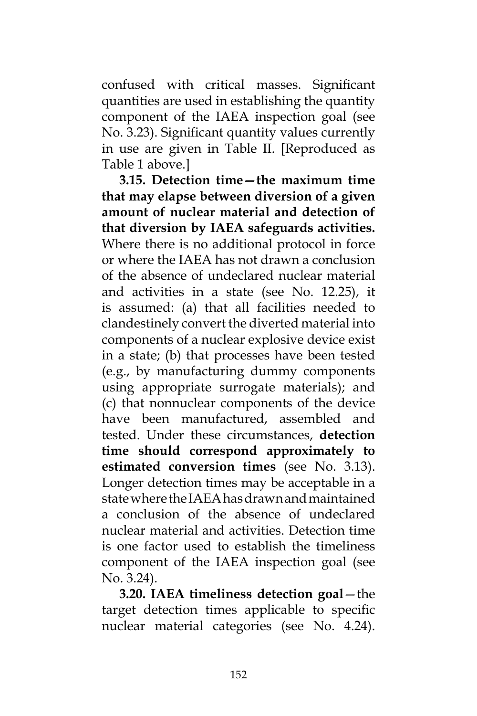confused with critical masses. Significant quantities are used in establishing the quantity component of the IAEA inspection goal (see No. 3.23). Significant quantity values currently in use are given in Table II. [Reproduced as Table 1 above.]

**3.15. Detection time—the maximum time that may elapse between diversion of a given amount of nuclear material and detection of that diversion by IAEA safeguards activities.**  Where there is no additional protocol in force or where the IAEA has not drawn a conclusion of the absence of undeclared nuclear material and activities in a state (see No. 12.25), it is assumed: (a) that all facilities needed to clandestinely convert the diverted material into components of a nuclear explosive device exist in a state; (b) that processes have been tested (e.g., by manufacturing dummy components using appropriate surrogate materials); and (c) that nonnuclear components of the device have been manufactured, assembled and tested. Under these circumstances, **detection time should correspond approximately to estimated conversion times** (see No. 3.13). Longer detection times may be acceptable in a state where the IAEA has drawn and maintained a conclusion of the absence of undeclared nuclear material and activities. Detection time is one factor used to establish the timeliness component of the IAEA inspection goal (see No. 3.24).

**3.20. IAEA timeliness detection goal**—the target detection times applicable to specific nuclear material categories (see No. 4.24).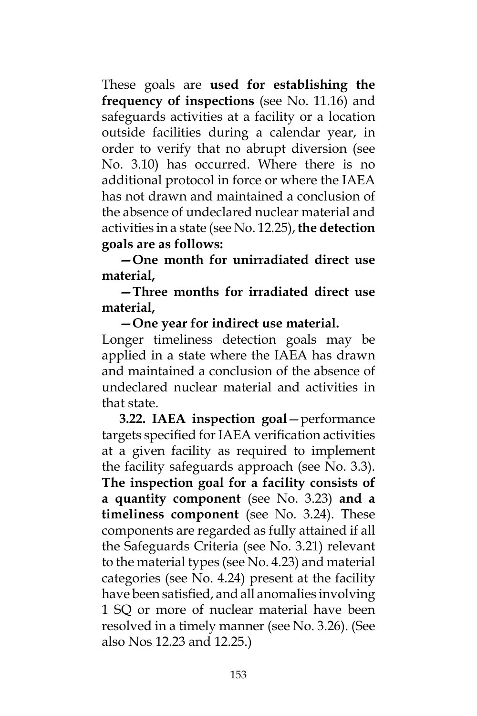These goals are **used for establishing the frequency of inspections** (see No. 11.16) and safeguards activities at a facility or a location outside facilities during a calendar year, in order to verify that no abrupt diversion (see No. 3.10) has occurred. Where there is no additional protocol in force or where the IAEA has not drawn and maintained a conclusion of the absence of undeclared nuclear material and activities in a state (see No. 12.25), **the detection goals are as follows:** 

**—One month for unirradiated direct use material,** 

**—Three months for irradiated direct use material,** 

**—One year for indirect use material.**  Longer timeliness detection goals may be applied in a state where the IAEA has drawn and maintained a conclusion of the absence of undeclared nuclear material and activities in that state.

**3.22. IAEA inspection goal**—performance targets specified for IAEA verification activities at a given facility as required to implement the facility safeguards approach (see No. 3.3). **The inspection goal for a facility consists of a quantity component** (see No. 3.23) **and a timeliness component** (see No. 3.24). These components are regarded as fully attained if all the Safeguards Criteria (see No. 3.21) relevant to the material types (see No. 4.23) and material categories (see No. 4.24) present at the facility have been satisfied, and all anomalies involving 1 SQ or more of nuclear material have been resolved in a timely manner (see No. 3.26). (See also Nos 12.23 and 12.25.)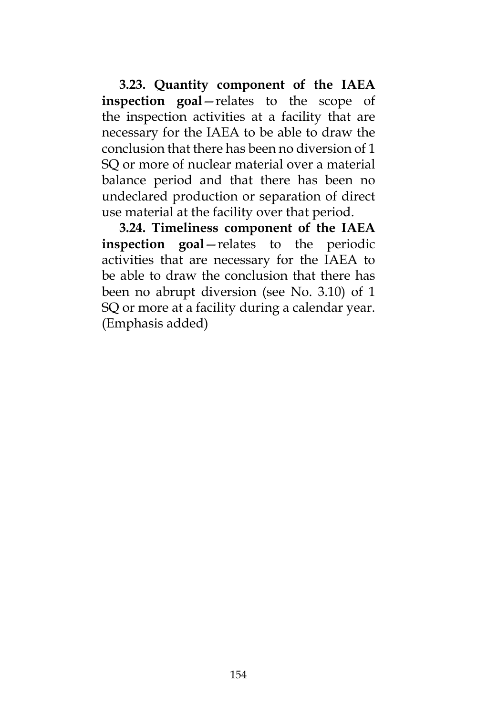**3.23. Quantity component of the IAEA inspection goal**—relates to the scope of the inspection activities at a facility that are necessary for the IAEA to be able to draw the conclusion that there has been no diversion of 1 SQ or more of nuclear material over a material balance period and that there has been no undeclared production or separation of direct use material at the facility over that period.

**3.24. Timeliness component of the IAEA inspection goal**—relates to the periodic activities that are necessary for the IAEA to be able to draw the conclusion that there has been no abrupt diversion (see No. 3.10) of 1 SQ or more at a facility during a calendar year. (Emphasis added)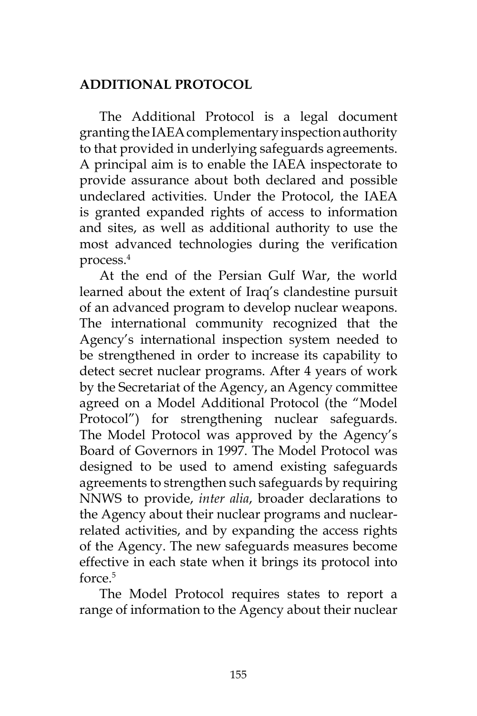## **ADDITIONAL PROTOCOL**

The Additional Protocol is a legal document granting the IAEA complementary inspection authority to that provided in underlying safeguards agreements. A principal aim is to enable the IAEA inspectorate to provide assurance about both declared and possible undeclared activities. Under the Protocol, the IAEA is granted expanded rights of access to information and sites, as well as additional authority to use the most advanced technologies during the verification process.4

At the end of the Persian Gulf War, the world learned about the extent of Iraq's clandestine pursuit of an advanced program to develop nuclear weapons. The international community recognized that the Agency's international inspection system needed to be strengthened in order to increase its capability to detect secret nuclear programs. After 4 years of work by the Secretariat of the Agency, an Agency committee agreed on a Model Additional Protocol (the "Model Protocol") for strengthening nuclear safeguards. The Model Protocol was approved by the Agency's Board of Governors in 1997. The Model Protocol was designed to be used to amend existing safeguards agreements to strengthen such safeguards by requiring NNWS to provide, *inter alia*, broader declarations to the Agency about their nuclear programs and nuclearrelated activities, and by expanding the access rights of the Agency. The new safeguards measures become effective in each state when it brings its protocol into force.5

The Model Protocol requires states to report a range of information to the Agency about their nuclear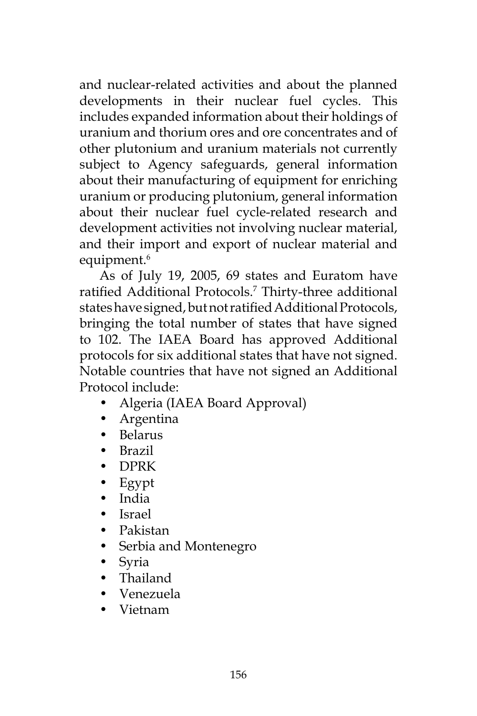and nuclear-related activities and about the planned developments in their nuclear fuel cycles. This includes expanded information about their holdings of uranium and thorium ores and ore concentrates and of other plutonium and uranium materials not currently subject to Agency safeguards, general information about their manufacturing of equipment for enriching uranium or producing plutonium, general information about their nuclear fuel cycle-related research and development activities not involving nuclear material, and their import and export of nuclear material and equipment.<sup>6</sup>

As of July 19, 2005, 69 states and Euratom have ratified Additional Protocols.<sup>7</sup> Thirty-three additional states have signed, but not ratified Additional Protocols, bringing the total number of states that have signed to 102. The IAEA Board has approved Additional protocols for six additional states that have not signed. Notable countries that have not signed an Additional Protocol include:

- Algeria (IAEA Board Approval)
- Argentina
- Belarus
- Brazil
- DPRK
- Egypt
- India
- Israel
- Pakistan
- Serbia and Montenegro
- Syria
- Thailand
- Venezuela
- Vietnam